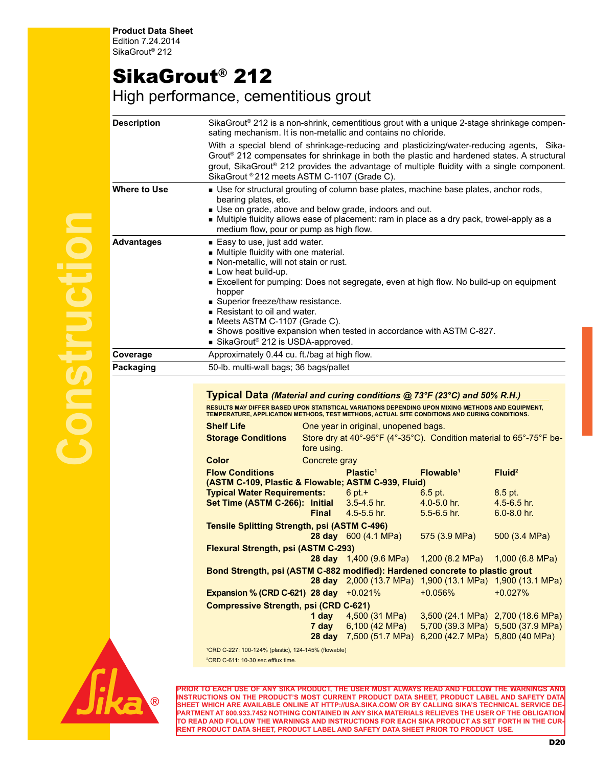**Product Data Sheet** Edition 7.24.2014 SikaGrout® 212

## SikaGrout® 212

High performance, cementitious grout

| <b>Description</b> | SikaGrout® 212 is a non-shrink, cementitious grout with a unique 2-stage shrinkage compen-<br>sating mechanism. It is non-metallic and contains no chloride.                                                                                                                                                                                                                                                                                                                                    |                                        |                                                           |                       |                                   |  |
|--------------------|-------------------------------------------------------------------------------------------------------------------------------------------------------------------------------------------------------------------------------------------------------------------------------------------------------------------------------------------------------------------------------------------------------------------------------------------------------------------------------------------------|----------------------------------------|-----------------------------------------------------------|-----------------------|-----------------------------------|--|
|                    | With a special blend of shrinkage-reducing and plasticizing/water-reducing agents, Sika-<br>Grout® 212 compensates for shrinkage in both the plastic and hardened states. A structural<br>grout, SikaGrout® 212 provides the advantage of multiple fluidity with a single component.<br>SikaGrout ® 212 meets ASTM C-1107 (Grade C).                                                                                                                                                            |                                        |                                                           |                       |                                   |  |
| Where to Use       | Use for structural grouting of column base plates, machine base plates, anchor rods,<br>bearing plates, etc.<br>Use on grade, above and below grade, indoors and out.<br>Multiple fluidity allows ease of placement: ram in place as a dry pack, trowel-apply as a<br>medium flow, pour or pump as high flow.                                                                                                                                                                                   |                                        |                                                           |                       |                                   |  |
| Advantages         | Easy to use, just add water.<br>• Multiple fluidity with one material.<br>Non-metallic, will not stain or rust.<br>Low heat build-up.<br>Excellent for pumping: Does not segregate, even at high flow. No build-up on equipment<br>hopper<br>Superior freeze/thaw resistance.<br>Resistant to oil and water.<br>Meets ASTM C-1107 (Grade C).<br>Shows positive expansion when tested in accordance with ASTM C-827.<br>SikaGrout <sup>®</sup> 212 is USDA-approved.                             |                                        |                                                           |                       |                                   |  |
| Coverage           | Approximately 0.44 cu. ft./bag at high flow.                                                                                                                                                                                                                                                                                                                                                                                                                                                    |                                        |                                                           |                       |                                   |  |
| Packaging          |                                                                                                                                                                                                                                                                                                                                                                                                                                                                                                 | 50-lb. multi-wall bags; 36 bags/pallet |                                                           |                       |                                   |  |
|                    | Typical Data (Material and curing conditions @ 73°F (23°C) and 50% R.H.)<br>RESULTS MAY DIFFER BASED UPON STATISTICAL VARIATIONS DEPENDING UPON MIXING METHODS AND EQUIPMENT,<br>TEMPERATURE, APPLICATION METHODS, TEST METHODS, ACTUAL SITE CONDITIONS AND CURING CONDITIONS.<br><b>Shelf Life</b><br>One year in original, unopened bags.<br>Store dry at 40°-95°F (4°-35°C). Condition material to 65°-75°F be-<br><b>Storage Conditions</b><br>fore using.<br><b>Color</b><br>Concrete gray |                                        |                                                           |                       |                                   |  |
|                    | <b>Flow Conditions</b>                                                                                                                                                                                                                                                                                                                                                                                                                                                                          |                                        | Plastic <sup>1</sup>                                      | Flowable <sup>1</sup> | Fluid <sup>2</sup>                |  |
|                    | (ASTM C-109, Plastic & Flowable; ASTM C-939, Fluid)                                                                                                                                                                                                                                                                                                                                                                                                                                             |                                        |                                                           |                       |                                   |  |
|                    | <b>Typical Water Requirements:</b>                                                                                                                                                                                                                                                                                                                                                                                                                                                              |                                        | $6$ pt. +                                                 | $6.5$ pt.             | 8.5 pt.                           |  |
|                    | Set Time (ASTM C-266): Initial                                                                                                                                                                                                                                                                                                                                                                                                                                                                  |                                        | $3.5 - 4.5$ hr.                                           | $4.0 - 5.0$ hr.       | $4.5 - 6.5$ hr.                   |  |
|                    |                                                                                                                                                                                                                                                                                                                                                                                                                                                                                                 | <b>Final</b>                           | $4.5 - 5.5$ hr.                                           | $5.5 - 6.5$ hr.       | $6.0 - 8.0$ hr.                   |  |
|                    | <b>Tensile Splitting Strength, psi (ASTM C-496)</b>                                                                                                                                                                                                                                                                                                                                                                                                                                             |                                        |                                                           |                       |                                   |  |
|                    |                                                                                                                                                                                                                                                                                                                                                                                                                                                                                                 |                                        | <b>28 day</b> 600 (4.1 MPa)                               | 575 (3.9 MPa)         | 500(3.4 MPa)                      |  |
|                    | <b>Flexural Strength, psi (ASTM C-293)</b>                                                                                                                                                                                                                                                                                                                                                                                                                                                      |                                        |                                                           |                       |                                   |  |
|                    |                                                                                                                                                                                                                                                                                                                                                                                                                                                                                                 |                                        | 28 day 1,400 (9.6 MPa)                                    | 1,200 (8.2 MPa)       | $1,000$ (6.8 MPa)                 |  |
|                    | Bond Strength, psi (ASTM C-882 modified): Hardened concrete to plastic grout                                                                                                                                                                                                                                                                                                                                                                                                                    |                                        | 28 day 2,000 (13.7 MPa) 1,900 (13.1 MPa) 1,900 (13.1 MPa) |                       |                                   |  |
|                    | Expansion % (CRD C-621) 28 day                                                                                                                                                                                                                                                                                                                                                                                                                                                                  |                                        | $+0.021%$                                                 | $+0.056%$             | $+0.027%$                         |  |
|                    | <b>Compressive Strength, psi (CRD C-621)</b>                                                                                                                                                                                                                                                                                                                                                                                                                                                    |                                        |                                                           |                       |                                   |  |
|                    |                                                                                                                                                                                                                                                                                                                                                                                                                                                                                                 | 1 day                                  | 4,500 (31 MPa)                                            |                       | 3,500 (24.1 MPa) 2,700 (18.6 MPa) |  |
|                    |                                                                                                                                                                                                                                                                                                                                                                                                                                                                                                 | 7 day                                  | 6,100 (42 MPa)                                            |                       | 5,700 (39.3 MPa) 5,500 (37.9 MPa) |  |
|                    |                                                                                                                                                                                                                                                                                                                                                                                                                                                                                                 |                                        | 28 day 7,500 (51.7 MPa) 6,200 (42.7 MPa) 5,800 (40 MPa)   |                       |                                   |  |
|                    | <sup>1</sup> CRD C-227: 100-124% (plastic), 124-145% (flowable)                                                                                                                                                                                                                                                                                                                                                                                                                                 |                                        |                                                           |                       |                                   |  |
|                    | <sup>2</sup> CRD C-611: 10-30 sec efflux time.                                                                                                                                                                                                                                                                                                                                                                                                                                                  |                                        |                                                           |                       |                                   |  |



**PRIOR TO EACH USE OF ANY SIKA PRODUCT, THE USER MUST ALWAYS READ AND FOLLOW THE WARNINGS AND INSTRUCTIONS ON THE PRODUCT'S MOST CURRENT PRODUCT DATA SHEET, PRODUCT LABEL AND SAFETY DATA SHEET WHICH ARE AVAILABLE ONLINE AT HTTP://USA.SIKA.COM/ OR BY CALLING SIKA'S TECHNICAL SERVICE DE-PARTMENT AT 800.933.7452 NOTHING CONTAINED IN ANY SIKA MATERIALS RELIEVES THE USER OF THE OBLIGATION TO READ AND FOLLOW THE WARNINGS AND INSTRUCTIONS FOR EACH SIKA PRODUCT AS SET FORTH IN THE CUR-RENT PRODUCT DATA SHEET, PRODUCT LABEL AND SAFETY DATA SHEET PRIOR TO PRODUCT USE.**